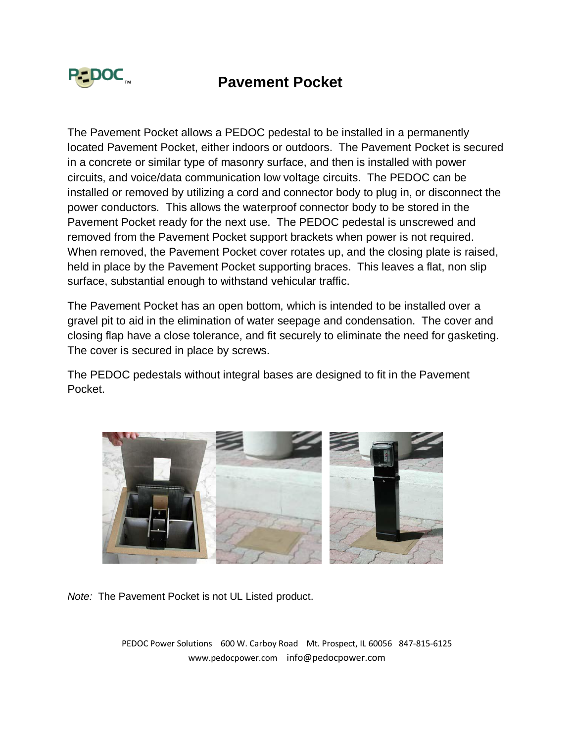

## P∹DOC<sub>™</sub> Pavement Pocket

The Pavement Pocket allows a PEDOC pedestal to be installed in a permanently located Pavement Pocket, either indoors or outdoors. The Pavement Pocket is secured in a concrete or similar type of masonry surface, and then is installed with power circuits, and voice/data communication low voltage circuits. The PEDOC can be installed or removed by utilizing a cord and connector body to plug in, or disconnect the power conductors. This allows the waterproof connector body to be stored in the Pavement Pocket ready for the next use. The PEDOC pedestal is unscrewed and removed from the Pavement Pocket support brackets when power is not required. When removed, the Pavement Pocket cover rotates up, and the closing plate is raised, held in place by the Pavement Pocket supporting braces. This leaves a flat, non slip surface, substantial enough to withstand vehicular traffic.

The Pavement Pocket has an open bottom, which is intended to be installed over a gravel pit to aid in the elimination of water seepage and condensation. The cover and closing flap have a close tolerance, and fit securely to eliminate the need for gasketing. The cover is secured in place by screws.

The PEDOC pedestals without integral bases are designed to fit in the Pavement Pocket.



*Note:* The Pavement Pocket is not UL Listed product.

PEDOC Power Solutions 600 W. Carboy Road Mt. Prospect, IL 60056 847-815-6125 www.pedocpower.com info@pedocpower.com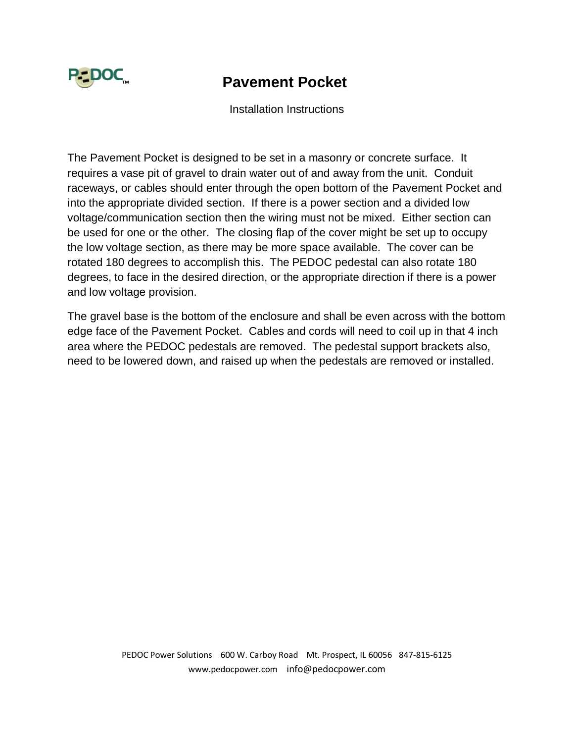

## ™ **Pavement Pocket**

Installation Instructions

The Pavement Pocket is designed to be set in a masonry or concrete surface. It requires a vase pit of gravel to drain water out of and away from the unit. Conduit raceways, or cables should enter through the open bottom of the Pavement Pocket and into the appropriate divided section. If there is a power section and a divided low voltage/communication section then the wiring must not be mixed. Either section can be used for one or the other. The closing flap of the cover might be set up to occupy the low voltage section, as there may be more space available. The cover can be rotated 180 degrees to accomplish this. The PEDOC pedestal can also rotate 180 degrees, to face in the desired direction, or the appropriate direction if there is a power and low voltage provision.

The gravel base is the bottom of the enclosure and shall be even across with the bottom edge face of the Pavement Pocket. Cables and cords will need to coil up in that 4 inch area where the PEDOC pedestals are removed. The pedestal support brackets also, need to be lowered down, and raised up when the pedestals are removed or installed.